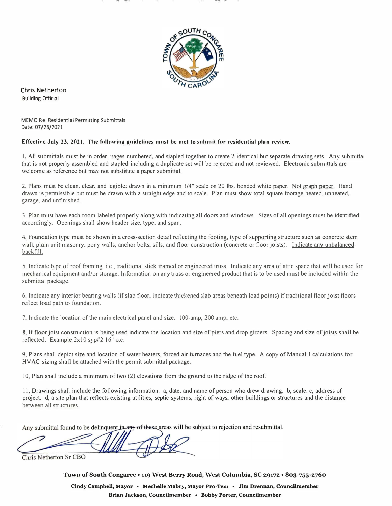

**Chris Netherton**  Building Official

MEMO Re: Residential Permitting Submittals Date: 07/23/2021

## **Effective July 23, 2021. The following guidelines must be met to submit for residential plan review.**

1, All subrnittals must be in order. pages numbered, and stapled together to create 2 identical but separate drawing sets. Any submittal that is not properly assembled and stapled including a duplicate sel will be rejected and not reviewed. Electronic submittals are welcome as reference but may not substitute a paper submittal.

2. Plans must be clean, clear, and legible; drawn in a minimum  $1/4$ " scale on 20 lbs. bonded white paper. Not graph paper. Hand drawn is permissible but must be drawn with a straight edge and to scale. Plan must show total square footage heated, unheated, garage. and unfinished.

3. Plan must have each room labeled properly along with indicating all doors and windows. Sizes of all openings must be identified accordingly. Openings shall show header size, type, and span.

4. Foundation type must be shown in a cross-section detail reflecting the footing, type of supporting structure such as concrete stem wall, plain unit masonry, pony walls, anchor bolts, sills, and floor construction (concrete or floor joists). Indicate any unbalanced backfill.

5, Indicate type of roof framing. i.e., traditional stick framed or engineered truss. Indicate any area of attic space that will be used for mechanical equipment and/or storage. Information on any truss or engineered product that is to be used must be included within the submittal package.

6. Indicate any interior bearing walls (if slab floor, indicate thickened slab aieas beneath load points) if traditional floor joist floors reflect load path to foundation.

7, indicate the location of the main electrical panel and size. l 00-amp, 200 amp, etc.

8, If floor joist construction is being used indicate the location and size of piers and drop girders. Spacing and size of joists shall be reflected. Example 2x 10 syp#2 16" o.c.

9, Plans shall depict size and location of water heaters, forced air furnaces and the fuel type. A copy of Manual J calculations for HV AC sizing shall be attached with the permit submittal package.

10, Plan shall include a minimum of two (2) elevations from the ground to the ridge of the roof.

11, Drawings shall include the following information. a, date, and name of person who drew drawing. b, scale. c, address of project. d, a site plan that reflects existing utilities, septic systems, right of ways, other buildings or structures and the distance between all structures.

Any submittal found to be delinquent in any of these areas will be subject to rejection and resubmittal.

Chris Netherton Sr CBO

**Town of South Congaree• 119 West Berry Road, West Columbia, SC 29172 • 803-755-2760** 

**Cindy Campbell, Mayor • Mechelle Mabry, Mayor Pro-Tern • Jim Drennan, Councilmember Brian Jackson, Councilmember • Bobby Porter, Councilmember**